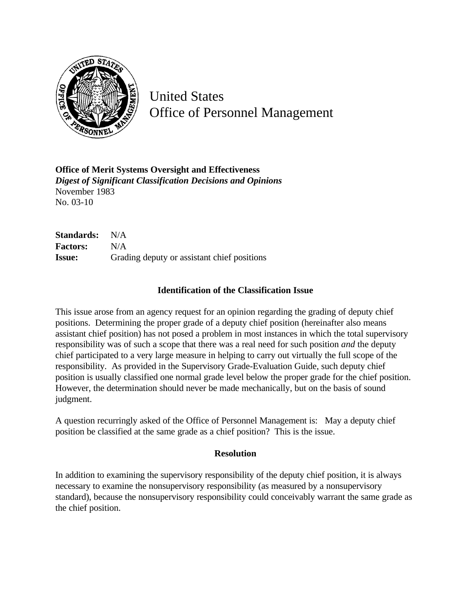

United States Office of Personnel Management

**Office of Merit Systems Oversight and Effectiveness** *Digest of Significant Classification Decisions and Opinions* November 1983 No. 03-10

**Standards:** N/A **Factors:** N/A **Issue:** Grading deputy or assistant chief positions

## **Identification of the Classification Issue**

This issue arose from an agency request for an opinion regarding the grading of deputy chief positions. Determining the proper grade of a deputy chief position (hereinafter also means assistant chief position) has not posed a problem in most instances in which the total supervisory responsibility was of such a scope that there was a real need for such position *and* the deputy chief participated to a very large measure in helping to carry out virtually the full scope of the responsibility. As provided in the Supervisory Grade-Evaluation Guide, such deputy chief position is usually classified one normal grade level below the proper grade for the chief position. However, the determination should never be made mechanically, but on the basis of sound judgment.

A question recurringly asked of the Office of Personnel Management is: May a deputy chief position be classified at the same grade as a chief position? This is the issue.

## **Resolution**

In addition to examining the supervisory responsibility of the deputy chief position, it is always necessary to examine the nonsupervisory responsibility (as measured by a nonsupervisory standard), because the nonsupervisory responsibility could conceivably warrant the same grade as the chief position.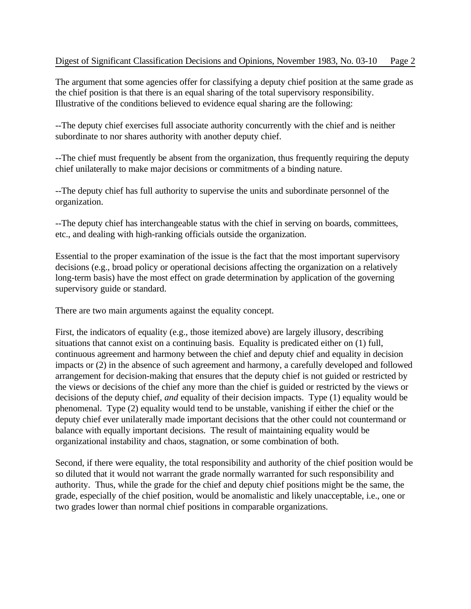The argument that some agencies offer for classifying a deputy chief position at the same grade as the chief position is that there is an equal sharing of the total supervisory responsibility. Illustrative of the conditions believed to evidence equal sharing are the following:

--The deputy chief exercises full associate authority concurrently with the chief and is neither subordinate to nor shares authority with another deputy chief.

--The chief must frequently be absent from the organization, thus frequently requiring the deputy chief unilaterally to make major decisions or commitments of a binding nature.

--The deputy chief has full authority to supervise the units and subordinate personnel of the organization.

--The deputy chief has interchangeable status with the chief in serving on boards, committees, etc., and dealing with high-ranking officials outside the organization.

Essential to the proper examination of the issue is the fact that the most important supervisory decisions (e.g., broad policy or operational decisions affecting the organization on a relatively long-term basis) have the most effect on grade determination by application of the governing supervisory guide or standard.

There are two main arguments against the equality concept.

First, the indicators of equality (e.g., those itemized above) are largely illusory, describing situations that cannot exist on a continuing basis. Equality is predicated either on (1) full, continuous agreement and harmony between the chief and deputy chief and equality in decision impacts or (2) in the absence of such agreement and harmony, a carefully developed and followed arrangement for decision-making that ensures that the deputy chief is not guided or restricted by the views or decisions of the chief any more than the chief is guided or restricted by the views or decisions of the deputy chief, *and* equality of their decision impacts. Type (1) equality would be phenomenal. Type (2) equality would tend to be unstable, vanishing if either the chief or the deputy chief ever unilaterally made important decisions that the other could not countermand or balance with equally important decisions. The result of maintaining equality would be organizational instability and chaos, stagnation, or some combination of both.

Second, if there were equality, the total responsibility and authority of the chief position would be so diluted that it would not warrant the grade normally warranted for such responsibility and authority. Thus, while the grade for the chief and deputy chief positions might be the same, the grade, especially of the chief position, would be anomalistic and likely unacceptable, i.e., one or two grades lower than normal chief positions in comparable organizations.